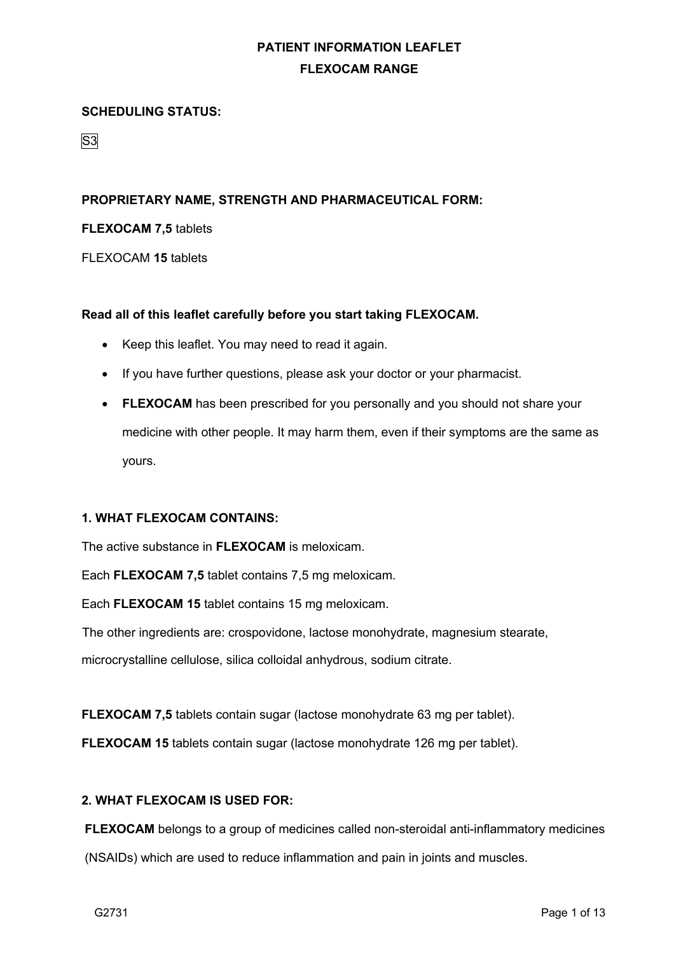### **SCHEDULING STATUS:**

S3

## **PROPRIETARY NAME, STRENGTH AND PHARMACEUTICAL FORM:**

#### **FLEXOCAM 7,5** tablets

FLEXOCAM **15** tablets

### **Read all of this leaflet carefully before you start taking FLEXOCAM.**

- Keep this leaflet. You may need to read it again.
- If you have further questions, please ask your doctor or your pharmacist.
- **FLEXOCAM** has been prescribed for you personally and you should not share your medicine with other people. It may harm them, even if their symptoms are the same as yours.

### **1. WHAT FLEXOCAM CONTAINS:**

The active substance in **FLEXOCAM** is meloxicam.

Each **FLEXOCAM 7,5** tablet contains 7,5 mg meloxicam.

Each **FLEXOCAM 15** tablet contains 15 mg meloxicam.

The other ingredients are: crospovidone, lactose monohydrate, magnesium stearate, microcrystalline cellulose, silica colloidal anhydrous, sodium citrate.

**FLEXOCAM 7,5** tablets contain sugar (lactose monohydrate 63 mg per tablet).

**FLEXOCAM 15** tablets contain sugar (lactose monohydrate 126 mg per tablet).

### **2. WHAT FLEXOCAM IS USED FOR:**

**FLEXOCAM** belongs to a group of medicines called non-steroidal anti-inflammatory medicines

(NSAIDs) which are used to reduce inflammation and pain in joints and muscles.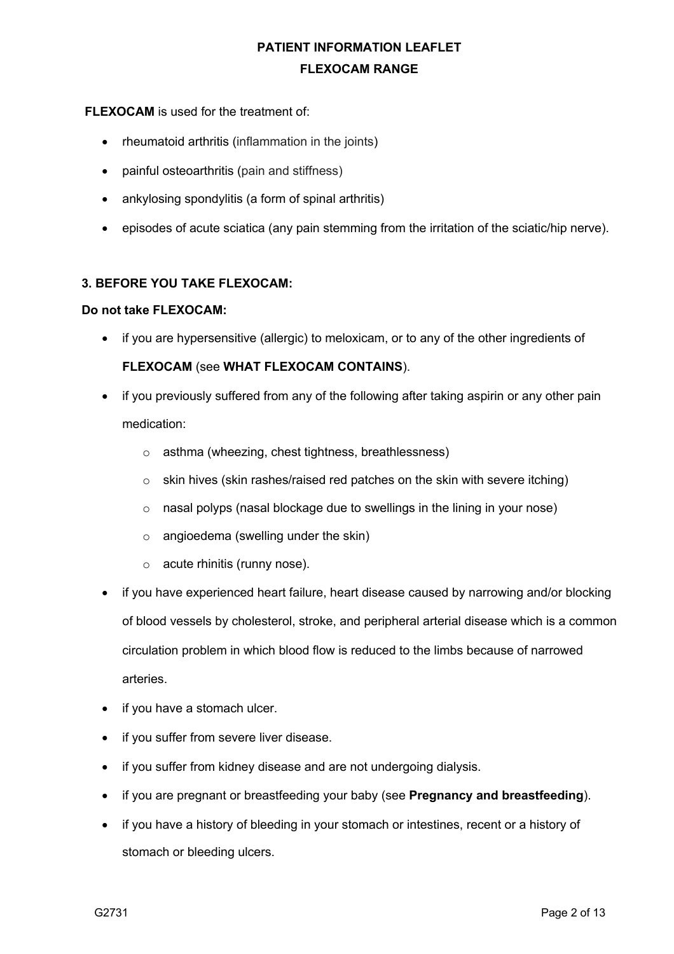## **FLEXOCAM** is used for the treatment of:

- rheumatoid arthritis (inflammation in the joints)
- painful osteoarthritis (pain and stiffness)
- ankylosing spondylitis (a form of spinal arthritis)
- episodes of acute sciatica (any pain stemming from the irritation of the sciatic/hip nerve).

## **3. BEFORE YOU TAKE FLEXOCAM:**

#### **Do not take FLEXOCAM:**

• if you are hypersensitive (allergic) to meloxicam, or to any of the other ingredients of

## **FLEXOCAM** (see **WHAT FLEXOCAM CONTAINS**).

- if you previously suffered from any of the following after taking aspirin or any other pain medication:
	- o asthma (wheezing, chest tightness, breathlessness)
	- $\circ$  skin hives (skin rashes/raised red patches on the skin with severe itching)
	- o nasal polyps (nasal blockage due to swellings in the lining in your nose)
	- o angioedema (swelling under the skin)
	- o acute rhinitis (runny nose).
- if you have experienced heart failure, heart disease caused by narrowing and/or blocking of blood vessels by cholesterol, stroke, and peripheral arterial disease which is a common circulation problem in which blood flow is reduced to the limbs because of narrowed arteries.
- if you have a stomach ulcer.
- if you suffer from severe liver disease.
- if you suffer from kidney disease and are not undergoing dialysis.
- if you are pregnant or breastfeeding your baby (see **Pregnancy and breastfeeding**).
- if you have a history of bleeding in your stomach or intestines, recent or a history of stomach or bleeding ulcers.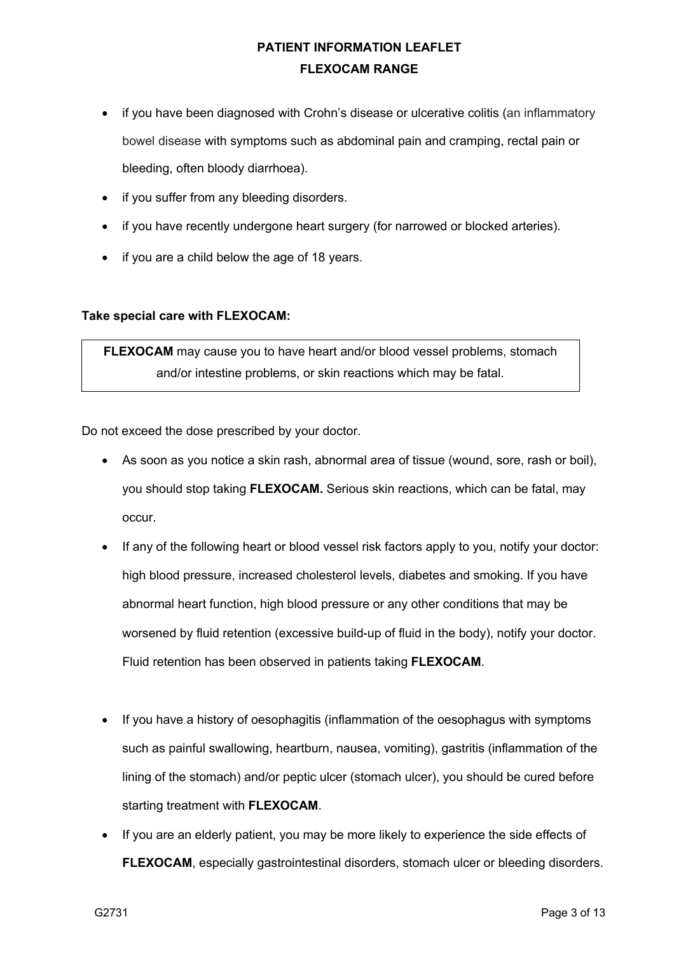- if you have been diagnosed with Crohn's disease or ulcerative colitis (an inflammatory bowel disease with symptoms such as abdominal pain and cramping, rectal pain or bleeding, often bloody diarrhoea).
- if you suffer from any bleeding disorders.
- if you have recently undergone heart surgery (for narrowed or blocked arteries).
- if you are a child below the age of 18 years.

## **Take special care with FLEXOCAM:**

**FLEXOCAM** may cause you to have heart and/or blood vessel problems, stomach and/or intestine problems, or skin reactions which may be fatal.

Do not exceed the dose prescribed by your doctor.

- As soon as you notice a skin rash, abnormal area of tissue (wound, sore, rash or boil), you should stop taking **FLEXOCAM.** Serious skin reactions, which can be fatal, may occur.
- If any of the following heart or blood vessel risk factors apply to you, notify your doctor: high blood pressure, increased cholesterol levels, diabetes and smoking. If you have abnormal heart function, high blood pressure or any other conditions that may be worsened by fluid retention (excessive build-up of fluid in the body), notify your doctor. Fluid retention has been observed in patients taking **FLEXOCAM**.
- If you have a history of oesophagitis (inflammation of the oesophagus with symptoms such as painful swallowing, heartburn, nausea, vomiting), gastritis (inflammation of the lining of the stomach) and/or peptic ulcer (stomach ulcer), you should be cured before starting treatment with **FLEXOCAM**.
- If you are an elderly patient, you may be more likely to experience the side effects of **FLEXOCAM**, especially gastrointestinal disorders, stomach ulcer or bleeding disorders.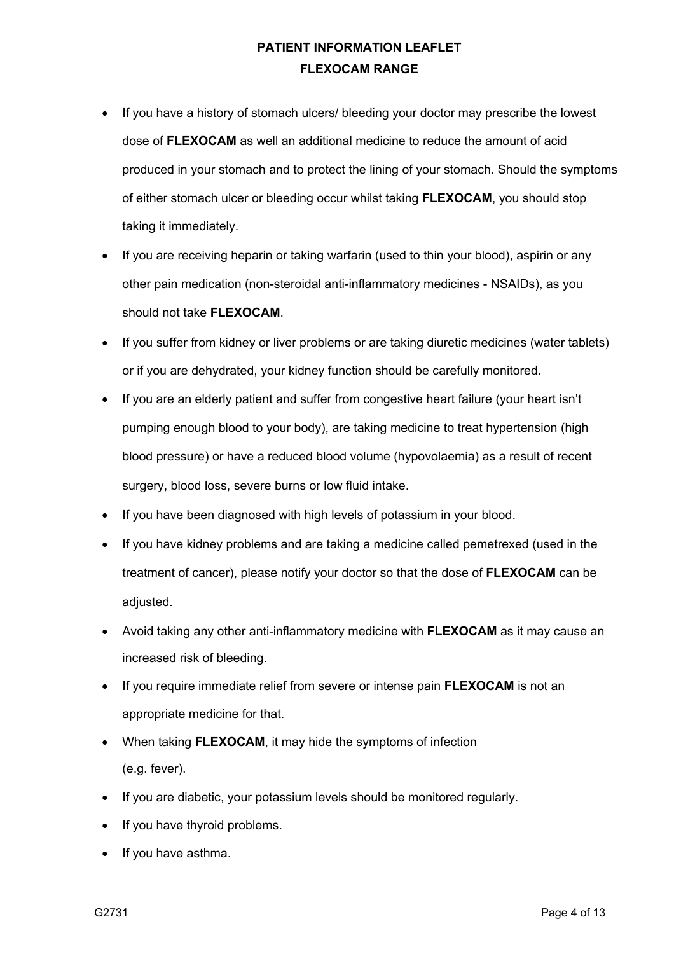- If you have a history of stomach ulcers/ bleeding your doctor may prescribe the lowest dose of **FLEXOCAM** as well an additional medicine to reduce the amount of acid produced in your stomach and to protect the lining of your stomach. Should the symptoms of either stomach ulcer or bleeding occur whilst taking **FLEXOCAM**, you should stop taking it immediately.
- If you are receiving heparin or taking warfarin (used to thin your blood), aspirin or any other pain medication (non-steroidal anti-inflammatory medicines - NSAIDs), as you should not take **FLEXOCAM**.
- If you suffer from kidney or liver problems or are taking diuretic medicines (water tablets) or if you are dehydrated, your kidney function should be carefully monitored.
- If you are an elderly patient and suffer from congestive heart failure (your heart isn't pumping enough blood to your body), are taking medicine to treat hypertension (high blood pressure) or have a reduced blood volume (hypovolaemia) as a result of recent surgery, blood loss, severe burns or low fluid intake.
- If you have been diagnosed with high levels of potassium in your blood.
- If you have kidney problems and are taking a medicine called pemetrexed (used in the treatment of cancer), please notify your doctor so that the dose of **FLEXOCAM** can be adiusted.
- Avoid taking any other anti-inflammatory medicine with **FLEXOCAM** as it may cause an increased risk of bleeding.
- If you require immediate relief from severe or intense pain **FLEXOCAM** is not an appropriate medicine for that.
- When taking **FLEXOCAM**, it may hide the symptoms of infection (e.g. fever).
- If you are diabetic, your potassium levels should be monitored regularly.
- If you have thyroid problems.
- If you have asthma.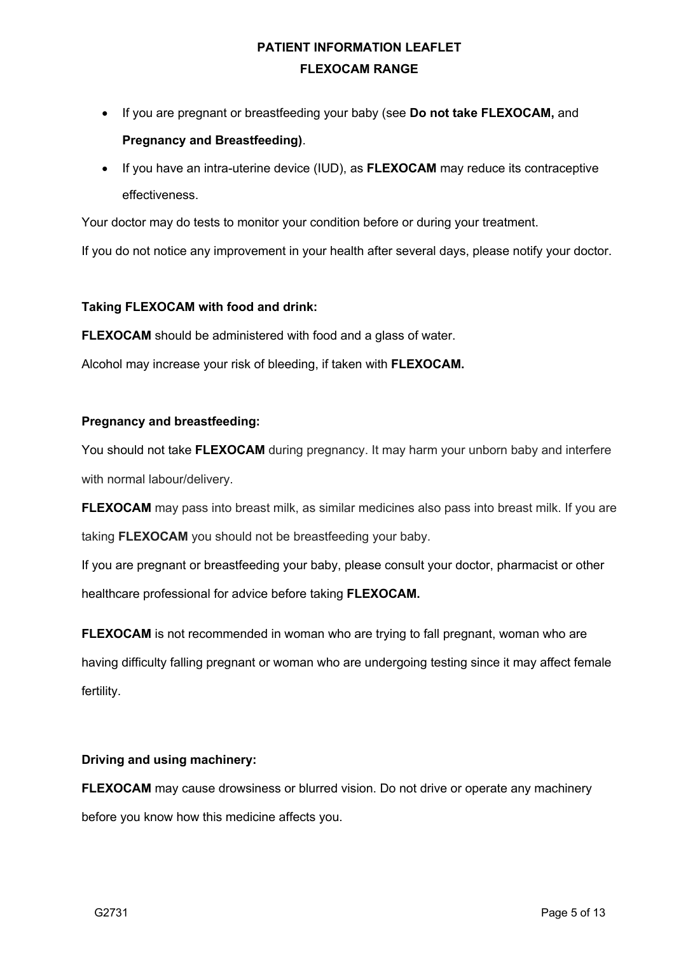- If you are pregnant or breastfeeding your baby (see **Do not take FLEXOCAM,** and **Pregnancy and Breastfeeding)**.
- If you have an intra-uterine device (IUD), as **FLEXOCAM** may reduce its contraceptive effectiveness.

Your doctor may do tests to monitor your condition before or during your treatment.

If you do not notice any improvement in your health after several days, please notify your doctor.

### **Taking FLEXOCAM with food and drink:**

**FLEXOCAM** should be administered with food and a glass of water.

Alcohol may increase your risk of bleeding, if taken with **FLEXOCAM.**

### **Pregnancy and breastfeeding:**

You should not take **FLEXOCAM** during pregnancy. It may harm your unborn baby and interfere with normal labour/delivery.

**FLEXOCAM** may pass into breast milk, as similar medicines also pass into breast milk. If you are taking **FLEXOCAM** you should not be breastfeeding your baby.

If you are pregnant or breastfeeding your baby, please consult your doctor, pharmacist or other healthcare professional for advice before taking **FLEXOCAM.**

**FLEXOCAM** is not recommended in woman who are trying to fall pregnant, woman who are having difficulty falling pregnant or woman who are undergoing testing since it may affect female fertility.

## **Driving and using machinery:**

**FLEXOCAM** may cause drowsiness or blurred vision. Do not drive or operate any machinery before you know how this medicine affects you.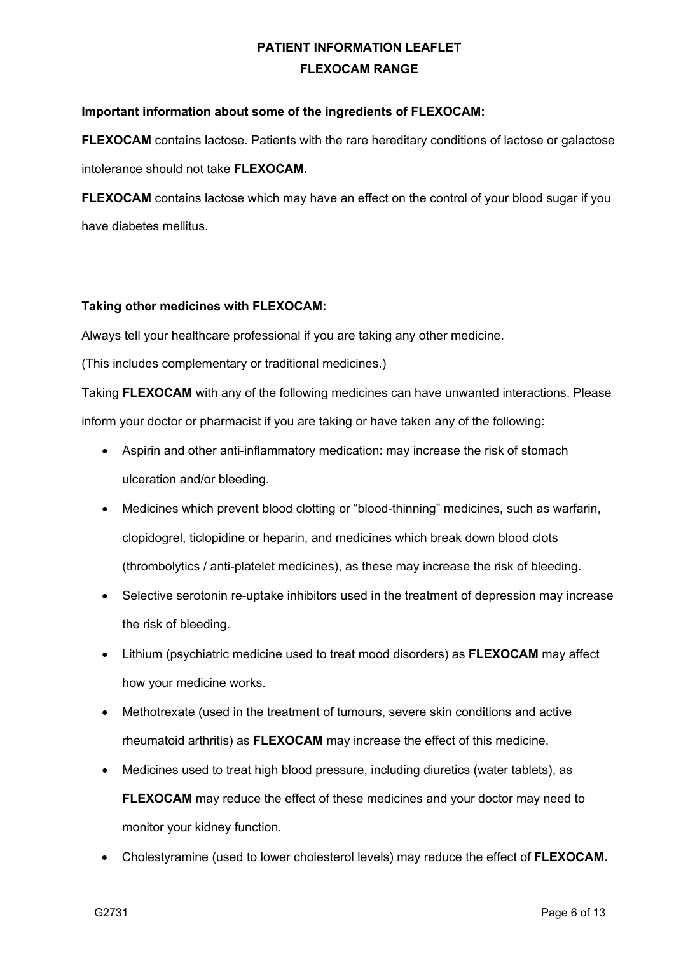### **Important information about some of the ingredients of FLEXOCAM:**

**FLEXOCAM** contains lactose. Patients with the rare hereditary conditions of lactose or galactose intolerance should not take **FLEXOCAM.**

**FLEXOCAM** contains lactose which may have an effect on the control of your blood sugar if you have diabetes mellitus.

### **Taking other medicines with FLEXOCAM:**

Always tell your healthcare professional if you are taking any other medicine.

(This includes complementary or traditional medicines.)

Taking **FLEXOCAM** with any of the following medicines can have unwanted interactions. Please inform your doctor or pharmacist if you are taking or have taken any of the following:

- Aspirin and other anti-inflammatory medication: may increase the risk of stomach ulceration and/or bleeding.
- Medicines which prevent blood clotting or "blood-thinning" medicines, such as warfarin, clopidogrel, ticlopidine or heparin, and medicines which break down blood clots (thrombolytics / anti-platelet medicines), as these may increase the risk of bleeding.
- Selective serotonin re-uptake inhibitors used in the treatment of depression may increase the risk of bleeding.
- Lithium (psychiatric medicine used to treat mood disorders) as **FLEXOCAM** may affect how your medicine works.
- Methotrexate (used in the treatment of tumours, severe skin conditions and active rheumatoid arthritis) as **FLEXOCAM** may increase the effect of this medicine.
- Medicines used to treat high blood pressure, including diuretics (water tablets), as **FLEXOCAM** may reduce the effect of these medicines and your doctor may need to monitor your kidney function.
- Cholestyramine (used to lower cholesterol levels) may reduce the effect of **FLEXOCAM.**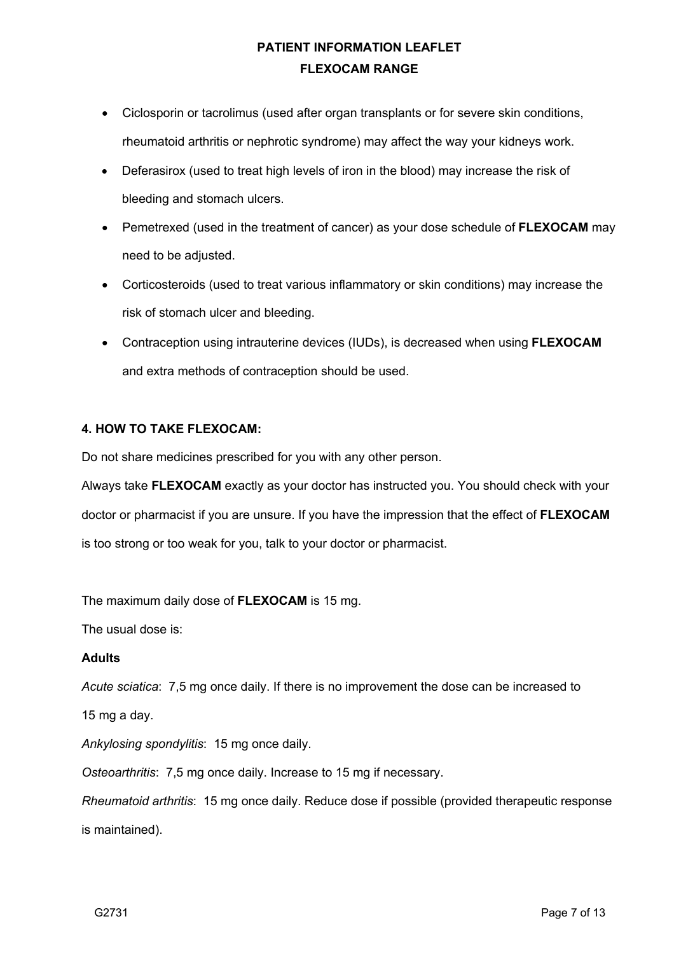- Ciclosporin or tacrolimus (used after organ transplants or for severe skin conditions, rheumatoid arthritis or nephrotic syndrome) may affect the way your kidneys work.
- Deferasirox (used to treat high levels of iron in the blood) may increase the risk of bleeding and stomach ulcers.
- Pemetrexed (used in the treatment of cancer) as your dose schedule of **FLEXOCAM** may need to be adjusted.
- Corticosteroids (used to treat various inflammatory or skin conditions) may increase the risk of stomach ulcer and bleeding.
- Contraception using intrauterine devices (IUDs), is decreased when using **FLEXOCAM**  and extra methods of contraception should be used.

## **4. HOW TO TAKE FLEXOCAM:**

Do not share medicines prescribed for you with any other person.

Always take **FLEXOCAM** exactly as your doctor has instructed you. You should check with your doctor or pharmacist if you are unsure. If you have the impression that the effect of **FLEXOCAM** is too strong or too weak for you, talk to your doctor or pharmacist.

The maximum daily dose of **FLEXOCAM** is 15 mg.

The usual dose is:

### **Adults**

*Acute sciatica*: 7,5 mg once daily. If there is no improvement the dose can be increased to

15 mg a day.

*Ankylosing spondylitis*: 15 mg once daily.

*Osteoarthritis*: 7,5 mg once daily. Increase to 15 mg if necessary.

*Rheumatoid arthritis*: 15 mg once daily. Reduce dose if possible (provided therapeutic response is maintained).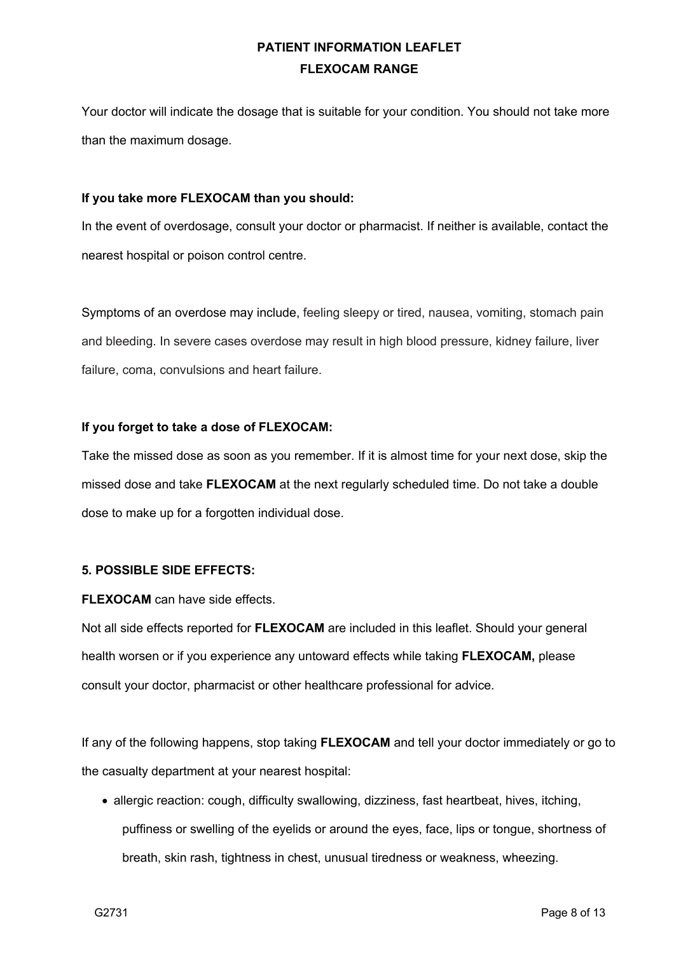Your doctor will indicate the dosage that is suitable for your condition. You should not take more than the maximum dosage.

### **If you take more FLEXOCAM than you should:**

In the event of overdosage, consult your doctor or pharmacist. If neither is available, contact the nearest hospital or poison control centre.

Symptoms of an overdose may include, feeling sleepy or tired, nausea, vomiting, stomach pain and bleeding. In severe cases overdose may result in high blood pressure, kidney failure, liver failure, coma, convulsions and heart failure.

### **If you forget to take a dose of FLEXOCAM:**

Take the missed dose as soon as you remember. If it is almost time for your next dose, skip the missed dose and take **FLEXOCAM** at the next regularly scheduled time. Do not take a double dose to make up for a forgotten individual dose.

### **5. POSSIBLE SIDE EFFECTS:**

**FLEXOCAM** can have side effects.

Not all side effects reported for **FLEXOCAM** are included in this leaflet. Should your general health worsen or if you experience any untoward effects while taking **FLEXOCAM,** please consult your doctor, pharmacist or other healthcare professional for advice.

If any of the following happens, stop taking **FLEXOCAM** and tell your doctor immediately or go to the casualty department at your nearest hospital:

• allergic reaction: cough, difficulty swallowing, dizziness, fast heartbeat, hives, itching, puffiness or swelling of the eyelids or around the eyes, face, lips or tongue, shortness of breath, skin rash, tightness in chest, unusual tiredness or weakness, wheezing.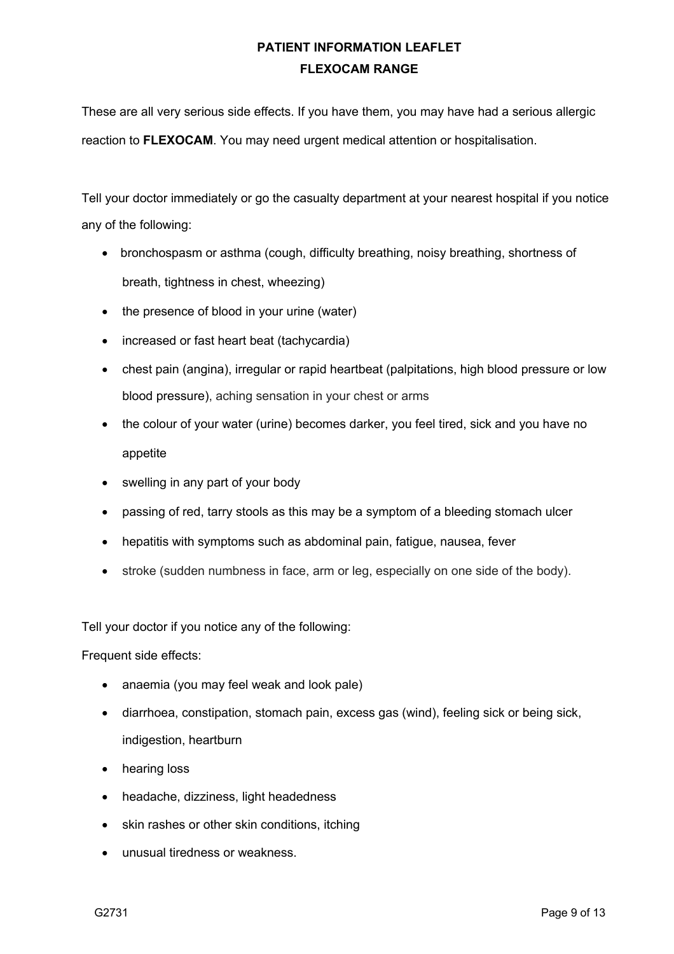These are all very serious side effects. If you have them, you may have had a serious allergic reaction to **FLEXOCAM**. You may need urgent medical attention or hospitalisation.

Tell your doctor immediately or go the casualty department at your nearest hospital if you notice any of the following:

- bronchospasm or asthma (cough, difficulty breathing, noisy breathing, shortness of breath, tightness in chest, wheezing)
- the presence of blood in your urine (water)
- increased or fast heart beat (tachycardia)
- chest pain (angina), irregular or rapid heartbeat (palpitations, high blood pressure or low blood pressure), aching sensation in your chest or arms
- the colour of your water (urine) becomes darker, you feel tired, sick and you have no appetite
- swelling in any part of your body
- passing of red, tarry stools as this may be a symptom of a bleeding stomach ulcer
- hepatitis with symptoms such as abdominal pain, fatigue, nausea, fever
- stroke (sudden numbness in face, arm or leg, especially on one side of the body).

Tell your doctor if you notice any of the following:

Frequent side effects:

- anaemia (you may feel weak and look pale)
- diarrhoea, constipation, stomach pain, excess gas (wind), feeling sick or being sick, indigestion, heartburn
- hearing loss
- headache, dizziness, light headedness
- skin rashes or other skin conditions, itching
- unusual tiredness or weakness.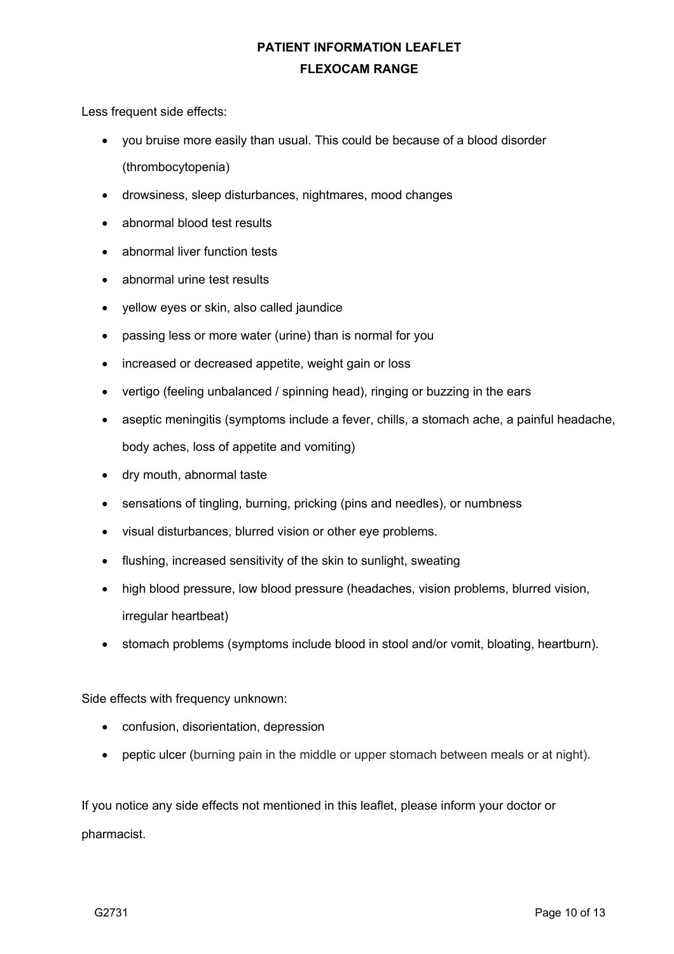Less frequent side effects:

- you bruise more easily than usual. This could be because of a blood disorder (thrombocytopenia)
- drowsiness, sleep disturbances, nightmares, mood changes
- abnormal blood test results
- abnormal liver function tests
- abnormal urine test results
- yellow eyes or skin, also called jaundice
- passing less or more water (urine) than is normal for you
- increased or decreased appetite, weight gain or loss
- vertigo (feeling unbalanced / spinning head), ringing or buzzing in the ears
- aseptic meningitis (symptoms include a fever, chills, a stomach ache, a painful headache, body aches, loss of appetite and vomiting)
- dry mouth, abnormal taste
- sensations of tingling, burning, pricking (pins and needles), or numbness
- visual disturbances, blurred vision or other eye problems.
- flushing, increased sensitivity of the skin to sunlight, sweating
- high blood pressure, low blood pressure (headaches, vision problems, blurred vision, irregular heartbeat)
- stomach problems (symptoms include blood in stool and/or vomit, bloating, heartburn).

Side effects with frequency unknown:

- confusion, disorientation, depression
- peptic ulcer (burning pain in the middle or upper stomach between meals or at night).

If you notice any side effects not mentioned in this leaflet, please inform your doctor or pharmacist.